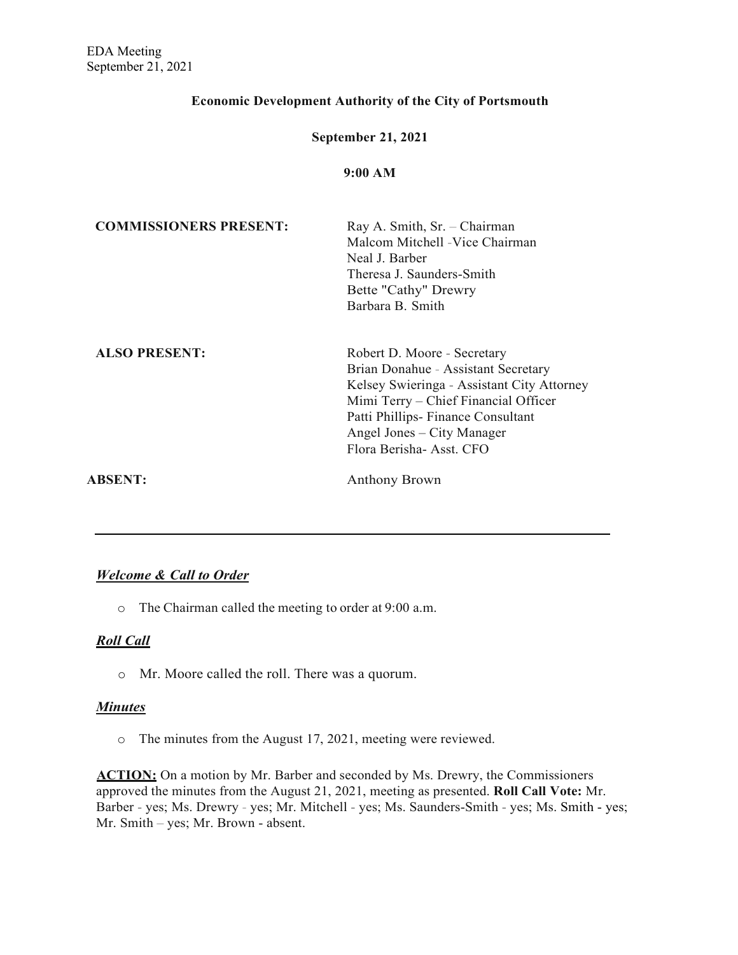### **Economic Development Authority of the City of Portsmouth**

#### **September 21, 2021**

#### **9:00 AM**

| <b>COMMISSIONERS PRESENT:</b> | Ray A. Smith, Sr. - Chairman<br>Malcom Mitchell -Vice Chairman<br>Neal J. Barber<br>Theresa J. Saunders-Smith<br>Bette "Cathy" Drewry<br>Barbara B. Smith                                                                                              |
|-------------------------------|--------------------------------------------------------------------------------------------------------------------------------------------------------------------------------------------------------------------------------------------------------|
| <b>ALSO PRESENT:</b>          | Robert D. Moore - Secretary<br>Brian Donahue - Assistant Secretary<br>Kelsey Swieringa - Assistant City Attorney<br>Mimi Terry – Chief Financial Officer<br>Patti Phillips-Finance Consultant<br>Angel Jones – City Manager<br>Flora Berisha-Asst. CFO |
| <b>ABSENT:</b>                | Anthony Brown                                                                                                                                                                                                                                          |

#### *Welcome & Call to Order*

o The Chairman called the meeting to order at 9:00 a.m.

### *Roll Call*

o Mr. Moore called the roll. There was a quorum.

#### *Minutes*

o The minutes from the August 17, 2021, meeting were reviewed.

**ACTION:** On a motion by Mr. Barber and seconded by Ms. Drewry, the Commissioners approved the minutes from the August 21, 2021, meeting as presented. **Roll Call Vote:** Mr. Barber - yes; Ms. Drewry - yes; Mr. Mitchell - yes; Ms. Saunders-Smith - yes; Ms. Smith - yes; Mr. Smith – yes; Mr. Brown - absent.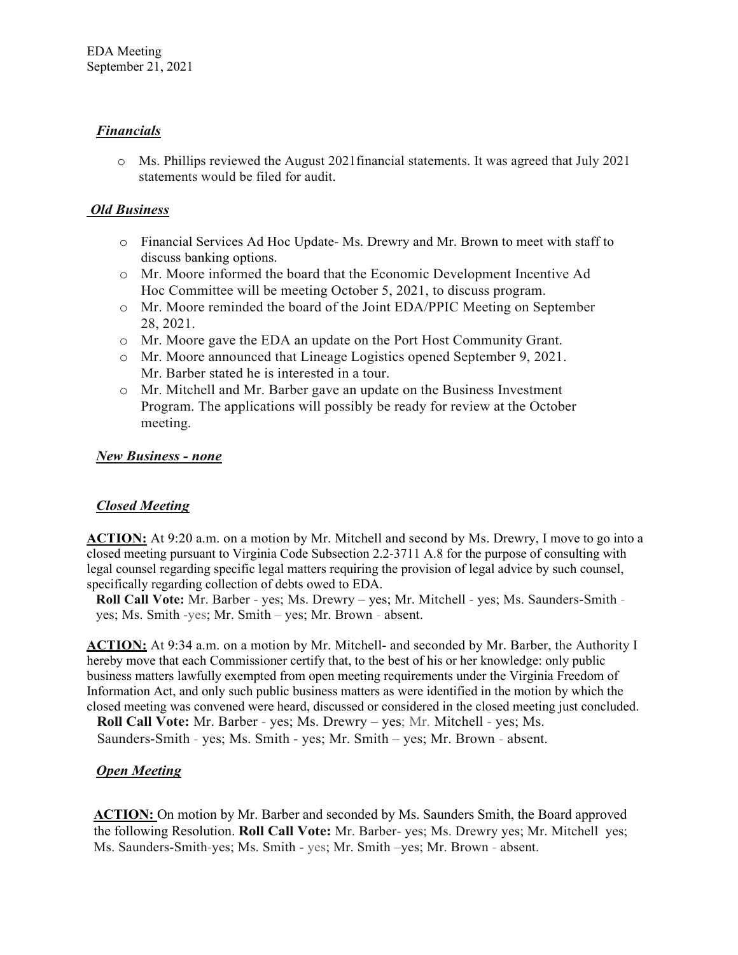## *Financials*

o Ms. Phillips reviewed the August 2021financial statements. It was agreed that July 2021 statements would be filed for audit.

### *Old Business*

- o Financial Services Ad Hoc Update- Ms. Drewry and Mr. Brown to meet with staff to discuss banking options.
- o Mr. Moore informed the board that the Economic Development Incentive Ad Hoc Committee will be meeting October 5, 2021, to discuss program.
- o Mr. Moore reminded the board of the Joint EDA/PPIC Meeting on September 28, 2021.
- o Mr. Moore gave the EDA an update on the Port Host Community Grant.
- o Mr. Moore announced that Lineage Logistics opened September 9, 2021. Mr. Barber stated he is interested in a tour.
- o Mr. Mitchell and Mr. Barber gave an update on the Business Investment Program. The applications will possibly be ready for review at the October meeting.

### *New Business - none*

### *Closed Meeting*

**ACTION:** At 9:20 a.m. on a motion by Mr. Mitchell and second by Ms. Drewry, I move to go into a closed meeting pursuant to Virginia Code Subsection 2.2-3711 A.8 for the purpose of consulting with legal counsel regarding specific legal matters requiring the provision of legal advice by such counsel, specifically regarding collection of debts owed to EDA.

**Roll Call Vote:** Mr. Barber - yes; Ms. Drewry – yes; Mr. Mitchell - yes; Ms. Saunders-Smith yes; Ms. Smith -yes; Mr. Smith – yes; Mr. Brown - absent.

**ACTION:** At 9:34 a.m. on a motion by Mr. Mitchell- and seconded by Mr. Barber, the Authority I hereby move that each Commissioner certify that, to the best of his or her knowledge: only public business matters lawfully exempted from open meeting requirements under the Virginia Freedom of Information Act, and only such public business matters as were identified in the motion by which the closed meeting was convened were heard, discussed or considered in the closed meeting just concluded.

**Roll Call Vote:** Mr. Barber - yes; Ms. Drewry – yes; Mr. Mitchell - yes; Ms.

Saunders-Smith - yes; Ms. Smith - yes; Mr. Smith – yes; Mr. Brown - absent.

### *Open Meeting*

**ACTION:** On motion by Mr. Barber and seconded by Ms. Saunders Smith, the Board approved the following Resolution. **Roll Call Vote:** Mr. Barber- yes; Ms. Drewry yes; Mr. Mitchell yes; Ms. Saunders-Smith-yes; Ms. Smith - yes; Mr. Smith –yes; Mr. Brown - absent.